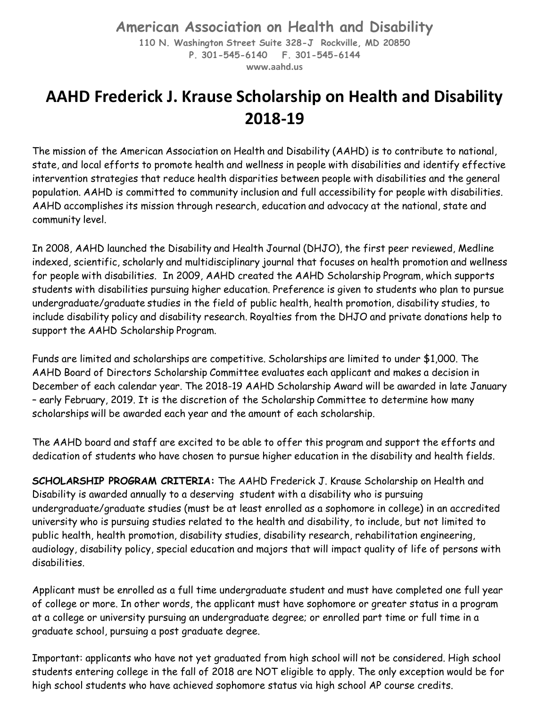## **American Association on Health and Disability**

**110 N. Washington Street Suite 328-J Rockville, MD 20850 P. 301-545-6140 F. 301-545-6144 [www.aahd.us](http://www.aahd.us/)**

## **AAHD Frederick J. Krause Scholarship on Health and Disability 2018-19**

The mission of the American Association on Health and Disability (AAHD) is to contribute to national, state, and local efforts to promote health and wellness in people with disabilities and identify effective intervention strategies that reduce health disparities between people with disabilities and the general population. AAHD is committed to community inclusion and full accessibility for people with disabilities. AAHD accomplishes its mission through research, education and advocacy at the national, state and community level.

In 2008, AAHD launched the Disability and Health Journal (DHJO), the first peer reviewed, Medline indexed, scientific, scholarly and multidisciplinary journal that focuses on health promotion and wellness for people with disabilities. In 2009, AAHD created the AAHD Scholarship Program, which supports students with disabilities pursuing higher education. Preference is given to students who plan to pursue undergraduate/graduate studies in the field of public health, health promotion, disability studies, to include disability policy and disability research. Royalties from the DHJO and private donations help to support the AAHD Scholarship Program.

Funds are limited and scholarships are competitive. Scholarships are limited to under \$1,000. The AAHD Board of Directors Scholarship Committee evaluates each applicant and makes a decision in December of each calendar year. The 2018-19 AAHD Scholarship Award will be awarded in late January – early February, 2019. It is the discretion of the Scholarship Committee to determine how many scholarships will be awarded each year and the amount of each scholarship.

The AAHD board and staff are excited to be able to offer this program and support the efforts and dedication of students who have chosen to pursue higher education in the disability and health fields.

**SCHOLARSHIP PROGRAM CRITERIA:** The AAHD Frederick J. Krause Scholarship on Health and Disability is awarded annually to a deserving student with a disability who is pursuing undergraduate/graduate studies (must be at least enrolled as a sophomore in college) in an accredited university who is pursuing studies related to the health and disability, to include, but not limited to public health, health promotion, disability studies, disability research, rehabilitation engineering, audiology, disability policy, special education and majors that will impact quality of life of persons with disabilities.

Applicant must be enrolled as a full time undergraduate student and must have completed one full year of college or more. In other words, the applicant must have sophomore or greater status in a program at a college or university pursuing an undergraduate degree; or enrolled part time or full time in a graduate school, pursuing a post graduate degree.

Important: applicants who have not yet graduated from high school will not be considered. High school students entering college in the fall of 2018 are NOT eligible to apply. The only exception would be for high school students who have achieved sophomore status via high school AP course credits.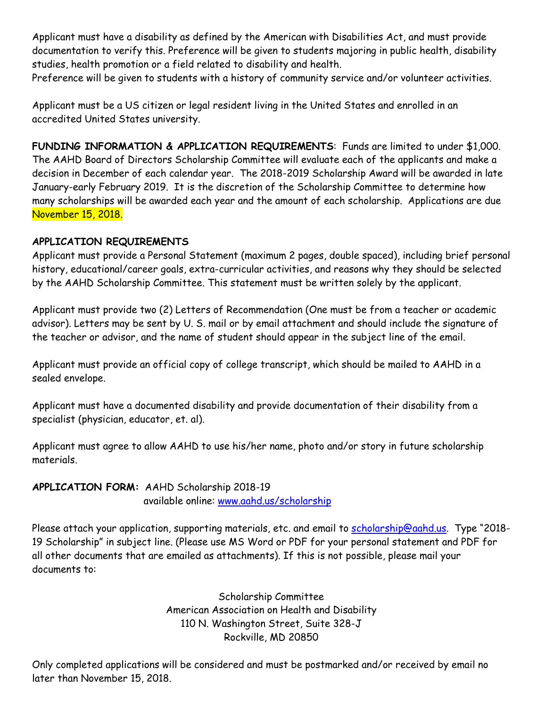Applicant must have a disability as defined by the American with Disabilities Act, and must provide documentation to verify this. Preference will be given to students majoring in public health, disability studies, health promotion or a field related to disability and health.

Preference will be given to students with a history of community service and/or volunteer activities.

Applicant must be a US citizen or legal resident living in the United States and enrolled in an accredited United States university.

**FUNDING INFORMATION & APPLICATION REQUIREMENTS**: Funds are limited to under \$1,000. The AAHD Board of Directors Scholarship Committee will evaluate each of the applicants and make a decision in December of each calendar year. The 2018-2019 Scholarship Award will be awarded in late January-early February 2019. It is the discretion of the Scholarship Committee to determine how many scholarships will be awarded each year and the amount of each scholarship. Applications are due November 15, 2018.

## **APPLICATION REQUIREMENTS**

Applicant must provide a Personal Statement (maximum 2 pages, double spaced), including brief personal history, educational/career goals, extra-curricular activities, and reasons why they should be selected by the AAHD Scholarship Committee. This statement must be written solely by the applicant.

Applicant must provide two (2) Letters of Recommendation (One must be from a teacher or academic advisor). Letters may be sent by U. S. mail or by email attachment and should include the signature of the teacher or advisor, and the name of student should appear in the subject line of the email.

Applicant must provide an official copy of college transcript, which should be mailed to AAHD in a sealed envelope.

Applicant must have a documented disability and provide documentation of their disability from a specialist (physician, educator, et. al).

Applicant must agree to allow AAHD to use his/her name, photo and/or story in future scholarship materials.

**APPLICATION FORM:** [AAHD Scholarship 2018-19](http://www.aahd.us/wp-content/uploads/2012/07/AAHDScholarship2017-18.pdf) available online: [www.aahd.us/scholarship](http://www.aahd.us/scholarship)

Please attach your application, supporting materials, etc. and email to [scholarship@aahd.us.](mailto:scholarship@aahd.us) Type "2018-19 Scholarship" in subject line. (Please use MS Word or PDF for your personal statement and PDF for all other documents that are emailed as attachments). If this is not possible, please mail your documents to:

> Scholarship Committee American Association on Health and Disability 110 N. Washington Street, Suite 328-J Rockville, MD 20850

Only completed applications will be considered and must be postmarked and/or received by email no later than November 15, 2018.